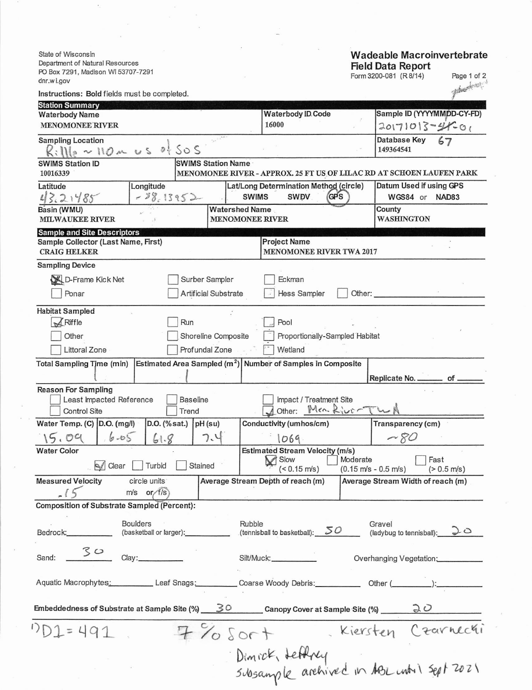State of Wisconsin Department of Natural Resources PO Box 7291, Madison WI 53707-7291 dnr.wi.gov

## **Wadeable Macroinvertebrate** Field Data Report<br>Form 3200-081 (R 8/14)

Page 1 of 2

| dnr.wi.gov                                                        |                 |                           |        |                                                               |                                                                                   |                                                                                      |  |  |
|-------------------------------------------------------------------|-----------------|---------------------------|--------|---------------------------------------------------------------|-----------------------------------------------------------------------------------|--------------------------------------------------------------------------------------|--|--|
| Instructions: Bold fields must be completed.                      |                 |                           |        |                                                               |                                                                                   | Themost                                                                              |  |  |
| <b>Station Summary</b>                                            |                 |                           |        |                                                               |                                                                                   |                                                                                      |  |  |
| <b>Waterbody Name</b>                                             |                 |                           |        | <b>Waterbody ID. Code</b>                                     |                                                                                   | Sample ID (YYYYMMDD-CY-FD)                                                           |  |  |
| <b>MENOMONEE RIVER</b>                                            |                 |                           |        | 16000                                                         |                                                                                   | $20171013-4401$                                                                      |  |  |
| <b>Sampling Location</b><br>$K:IIIe \sim 110 \text{ m}$ us of Sos |                 |                           |        |                                                               |                                                                                   | Database Key<br>149364541                                                            |  |  |
| <b>SWIMS Station ID</b>                                           |                 |                           |        |                                                               |                                                                                   |                                                                                      |  |  |
| 10016339                                                          |                 | <b>SWIMS Station Name</b> |        |                                                               |                                                                                   | MENOMONEE RIVER - APPROX. 25 FT US OF LILAC RD AT SCHOEN LAUFEN PARK                 |  |  |
| Latitude                                                          | Longitude       |                           |        | Lat/Long Determination Method (circle)                        | Datum Used if using GPS                                                           |                                                                                      |  |  |
| 43.21485                                                          | $-28.13952-$    |                           |        | <b>SWDV</b><br>(GPS<br><b>SWIMS</b>                           | WGS84 or<br>NAD83<br>County                                                       |                                                                                      |  |  |
| Basin (WMU)<br><b>MILWAUKEE RIVER</b>                             |                 |                           |        |                                                               | <b>Watershed Name</b><br><b>MENOMONEE RIVER</b>                                   |                                                                                      |  |  |
| <b>Sample and Site Descriptors</b>                                |                 |                           |        |                                                               |                                                                                   |                                                                                      |  |  |
| Sample Collector (Last Name, First)<br><b>CRAIG HELKER</b>        |                 |                           |        | <b>Project Name</b><br>MENOMONEE RIVER TWA 2017               |                                                                                   |                                                                                      |  |  |
| <b>Sampling Device</b>                                            |                 |                           |        |                                                               |                                                                                   |                                                                                      |  |  |
| D-Frame Kick Net                                                  |                 | Surber Sampler            |        | Eckman                                                        |                                                                                   |                                                                                      |  |  |
| Ponar                                                             |                 | Artificial Substrate      |        | Hess Sampler                                                  | Other:                                                                            |                                                                                      |  |  |
| <b>Habitat Sampled</b>                                            |                 |                           |        |                                                               |                                                                                   |                                                                                      |  |  |
| $\sqrt{R}$ Riffle                                                 |                 | Run                       |        | Pool                                                          |                                                                                   |                                                                                      |  |  |
| Other                                                             |                 | Shoreline Composite       |        | Proportionally-Sampled Habitat                                |                                                                                   |                                                                                      |  |  |
| Littoral Zone                                                     |                 | Profundal Zone            |        | Wetland                                                       |                                                                                   |                                                                                      |  |  |
|                                                                   |                 |                           |        | Estimated Area Sampled $(m^2)$ Number of Samples in Composite |                                                                                   |                                                                                      |  |  |
| <b>Total Sampling Time (min)</b>                                  |                 |                           |        |                                                               |                                                                                   | Replicate No. _________ of _                                                         |  |  |
| <b>Reason For Sampling</b>                                        |                 |                           |        |                                                               |                                                                                   |                                                                                      |  |  |
| Least Impacted Reference<br><b>Control Site</b>                   |                 | <b>Baseline</b><br>Trend  |        | Impact / Treatment Site<br>Jother: Men. River                 |                                                                                   |                                                                                      |  |  |
| Water Temp. (C) D.O. (mg/l)                                       | D.O. (% sat.)   | pH (su)                   |        | Conductivity (umhos/cm)                                       |                                                                                   | Transparency (cm)                                                                    |  |  |
| 15.09<br>$6 - 65$                                                 | 61.8            | 7.4                       |        | 1069.                                                         |                                                                                   | $~\sim$ 80                                                                           |  |  |
| <b>Water Color</b>                                                |                 |                           |        | <b>Estimated Stream Velocity (m/s)</b>                        |                                                                                   |                                                                                      |  |  |
| compared Clear                                                    | Turbid          | Stained                   |        | Slow <sub>3</sub><br>$($ < 0.15 m/s)                          | Fast<br>Moderate<br>$(0.15 \text{ m/s} - 0.5 \text{ m/s})$ $( > 0.5 \text{ m/s})$ |                                                                                      |  |  |
| <b>Measured Velocity</b>                                          | circle units    |                           |        | Average Stream Depth of reach (m)                             |                                                                                   | Average Stream Width of reach (m)                                                    |  |  |
|                                                                   | $m/s$ or $f/s$  |                           |        |                                                               |                                                                                   |                                                                                      |  |  |
| Composition of Substrate Sampled (Percent):                       |                 |                           |        |                                                               |                                                                                   |                                                                                      |  |  |
|                                                                   | <b>Boulders</b> |                           | Rubble |                                                               |                                                                                   | Gravel                                                                               |  |  |
| Bedrock: <b>Market</b>                                            |                 | (basketball or larger):   |        | (tennisball to basketball): $50$                              |                                                                                   | (ladybug to tennisball): $20$                                                        |  |  |
| 30<br>Sand:                                                       | Clay:           |                           |        | Silt/Muck:___________                                         |                                                                                   | Overhanging Vegetation:                                                              |  |  |
|                                                                   |                 |                           |        |                                                               |                                                                                   | Aquatic Macrophytes: Leaf Snags: Coarse Woody Debris: Other (Communication): Content |  |  |
|                                                                   |                 |                           |        |                                                               |                                                                                   | Embeddedness of Substrate at Sample Site (%) 30 Canopy Cover at Sample Site (%) 20   |  |  |
| $DD1 = 491$                                                       |                 | $7\%$ Sort                |        |                                                               |                                                                                   | Kiersten Czarnechi                                                                   |  |  |
|                                                                   |                 |                           |        |                                                               |                                                                                   |                                                                                      |  |  |
|                                                                   |                 |                           |        |                                                               |                                                                                   | Dimick, Lettery<br>Subsample archived in ABL until Sept 2021                         |  |  |
|                                                                   |                 |                           |        |                                                               |                                                                                   |                                                                                      |  |  |